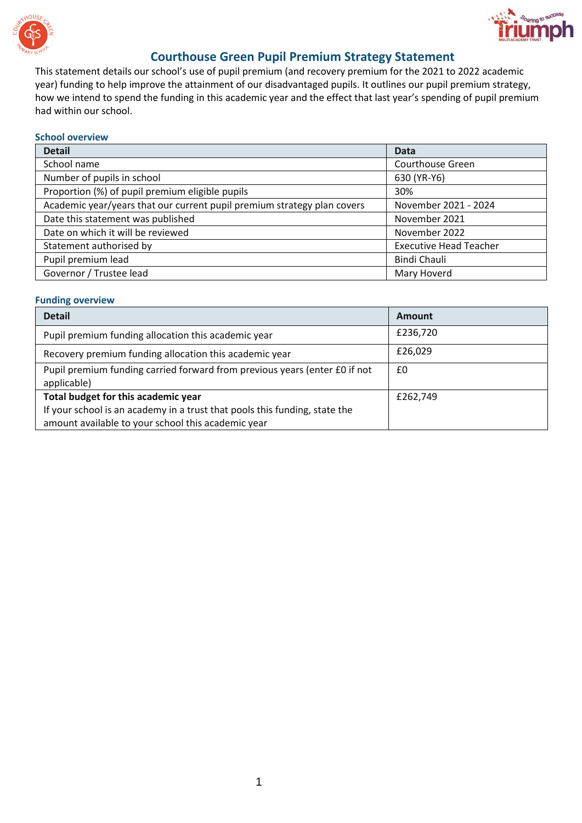



## **Courthouse Green Pupil Premium Strategy Statement**

This statement details our school's use of pupil premium (and recovery premium for the 2021 to 2022 academic year) funding to help improve the attainment of our disadvantaged pupils. It outlines our pupil premium strategy, how we intend to spend the funding in this academic year and the effect that last year's spending of pupil premium had within our school.

#### **School overview**

| <b>Detail</b>                                                           | <b>Data</b>                   |
|-------------------------------------------------------------------------|-------------------------------|
| School name                                                             | Courthouse Green              |
| Number of pupils in school                                              | 630 (YR-Y6)                   |
| Proportion (%) of pupil premium eligible pupils                         | 30%                           |
| Academic year/years that our current pupil premium strategy plan covers | November 2021 - 2024          |
| Date this statement was published                                       | November 2021                 |
| Date on which it will be reviewed                                       | November 2022                 |
| Statement authorised by                                                 | <b>Executive Head Teacher</b> |
| Pupil premium lead                                                      | Bindi Chauli                  |
| Governor / Trustee lead                                                 | Mary Hoverd                   |

#### **Funding overview**

| <b>Detail</b>                                                                             | <b>Amount</b> |
|-------------------------------------------------------------------------------------------|---------------|
| Pupil premium funding allocation this academic year                                       | £236,720      |
| Recovery premium funding allocation this academic year                                    | £26,029       |
| Pupil premium funding carried forward from previous years (enter £0 if not<br>applicable) | £0            |
| Total budget for this academic year                                                       | £262,749      |
| If your school is an academy in a trust that pools this funding, state the                |               |
| amount available to your school this academic year                                        |               |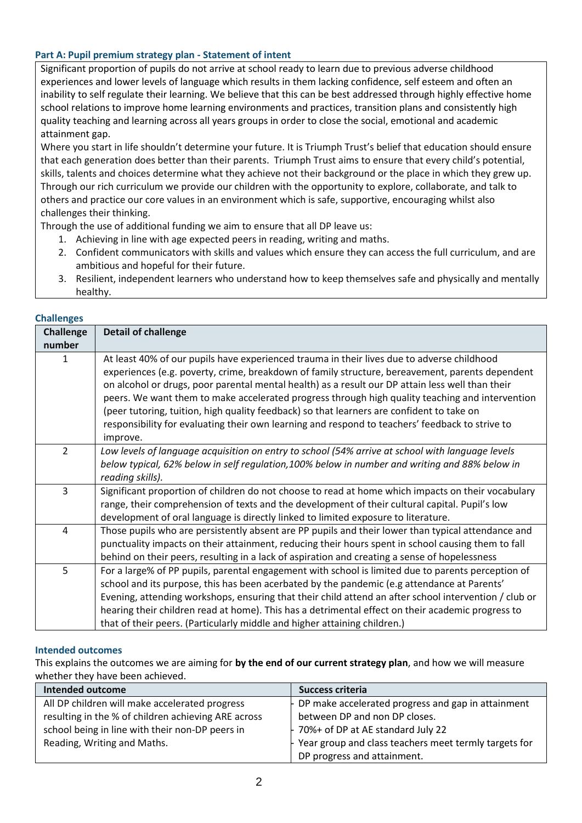## **Part A: Pupil premium strategy plan - Statement of intent**

Significant proportion of pupils do not arrive at school ready to learn due to previous adverse childhood experiences and lower levels of language which results in them lacking confidence, self esteem and often an inability to self regulate their learning. We believe that this can be best addressed through highly effective home school relations to improve home learning environments and practices, transition plans and consistently high quality teaching and learning across all years groups in order to close the social, emotional and academic attainment gap.

Where you start in life shouldn't determine your future. It is Triumph Trust's belief that education should ensure that each generation does better than their parents. Triumph Trust aims to ensure that every child's potential, skills, talents and choices determine what they achieve not their background or the place in which they grew up. Through our rich curriculum we provide our children with the opportunity to explore, collaborate, and talk to others and practice our core values in an environment which is safe, supportive, encouraging whilst also challenges their thinking.

Through the use of additional funding we aim to ensure that all DP leave us:

- 1. Achieving in line with age expected peers in reading, writing and maths.
- 2. Confident communicators with skills and values which ensure they can access the full curriculum, and are ambitious and hopeful for their future.
- 3. Resilient, independent learners who understand how to keep themselves safe and physically and mentally healthy.

| <b>Challenge</b><br>number | <b>Detail of challenge</b>                                                                                                                                                                                                                                                                                                                                                                                                                                                                                                                                                                                       |
|----------------------------|------------------------------------------------------------------------------------------------------------------------------------------------------------------------------------------------------------------------------------------------------------------------------------------------------------------------------------------------------------------------------------------------------------------------------------------------------------------------------------------------------------------------------------------------------------------------------------------------------------------|
| 1                          | At least 40% of our pupils have experienced trauma in their lives due to adverse childhood<br>experiences (e.g. poverty, crime, breakdown of family structure, bereavement, parents dependent<br>on alcohol or drugs, poor parental mental health) as a result our DP attain less well than their<br>peers. We want them to make accelerated progress through high quality teaching and intervention<br>(peer tutoring, tuition, high quality feedback) so that learners are confident to take on<br>responsibility for evaluating their own learning and respond to teachers' feedback to strive to<br>improve. |
| $\overline{2}$             | Low levels of language acquisition on entry to school (54% arrive at school with language levels<br>below typical, 62% below in self regulation,100% below in number and writing and 88% below in<br>reading skills).                                                                                                                                                                                                                                                                                                                                                                                            |
| 3                          | Significant proportion of children do not choose to read at home which impacts on their vocabulary<br>range, their comprehension of texts and the development of their cultural capital. Pupil's low<br>development of oral language is directly linked to limited exposure to literature.                                                                                                                                                                                                                                                                                                                       |
| 4                          | Those pupils who are persistently absent are PP pupils and their lower than typical attendance and<br>punctuality impacts on their attainment, reducing their hours spent in school causing them to fall<br>behind on their peers, resulting in a lack of aspiration and creating a sense of hopelessness                                                                                                                                                                                                                                                                                                        |
| 5                          | For a large% of PP pupils, parental engagement with school is limited due to parents perception of<br>school and its purpose, this has been acerbated by the pandemic (e.g attendance at Parents'<br>Evening, attending workshops, ensuring that their child attend an after school intervention / club or<br>hearing their children read at home). This has a detrimental effect on their academic progress to<br>that of their peers. (Particularly middle and higher attaining children.)                                                                                                                     |

#### **Challenges**

#### **Intended outcomes**

This explains the outcomes we are aiming for **by the end of our current strategy plan**, and how we will measure whether they have been achieved.

| <b>Intended outcome</b>                             | Success criteria                                            |
|-----------------------------------------------------|-------------------------------------------------------------|
| All DP children will make accelerated progress      | $\vdash$ DP make accelerated progress and gap in attainment |
| resulting in the % of children achieving ARE across | between DP and non DP closes.                               |
| school being in line with their non-DP peers in     | $-70%$ + of DP at AE standard July 22                       |
| Reading, Writing and Maths.                         | - Year group and class teachers meet termly targets for     |
|                                                     | DP progress and attainment.                                 |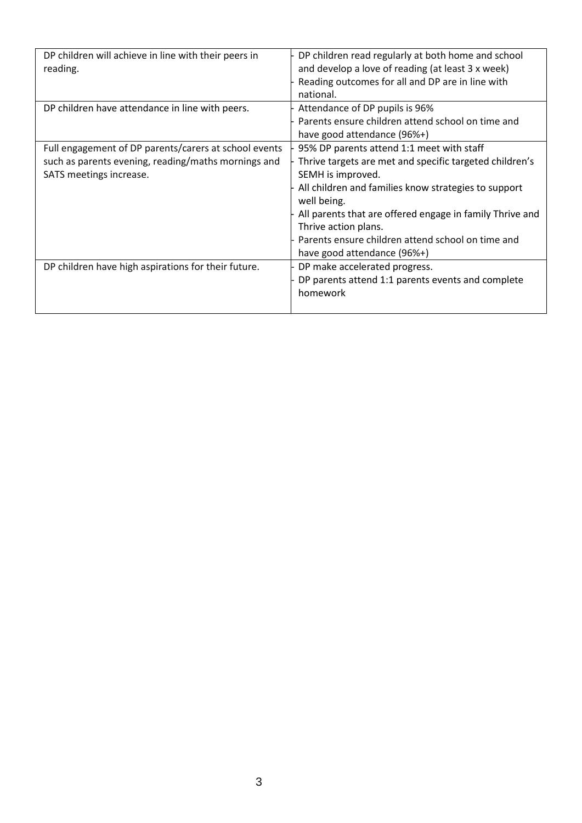| DP children will achieve in line with their peers in<br>reading.                                                                        | DP children read regularly at both home and school<br>and develop a love of reading (at least 3 x week)<br>Reading outcomes for all and DP are in line with<br>national.                                                                                                                                                                                                 |
|-----------------------------------------------------------------------------------------------------------------------------------------|--------------------------------------------------------------------------------------------------------------------------------------------------------------------------------------------------------------------------------------------------------------------------------------------------------------------------------------------------------------------------|
| DP children have attendance in line with peers.                                                                                         | Attendance of DP pupils is 96%<br>Parents ensure children attend school on time and<br>have good attendance (96%+)                                                                                                                                                                                                                                                       |
| Full engagement of DP parents/carers at school events<br>such as parents evening, reading/maths mornings and<br>SATS meetings increase. | 95% DP parents attend 1:1 meet with staff<br>Thrive targets are met and specific targeted children's<br>SEMH is improved.<br>All children and families know strategies to support<br>well being.<br>All parents that are offered engage in family Thrive and<br>Thrive action plans.<br>Parents ensure children attend school on time and<br>have good attendance (96%+) |
| DP children have high aspirations for their future.                                                                                     | DP make accelerated progress.<br>DP parents attend 1:1 parents events and complete<br>homework                                                                                                                                                                                                                                                                           |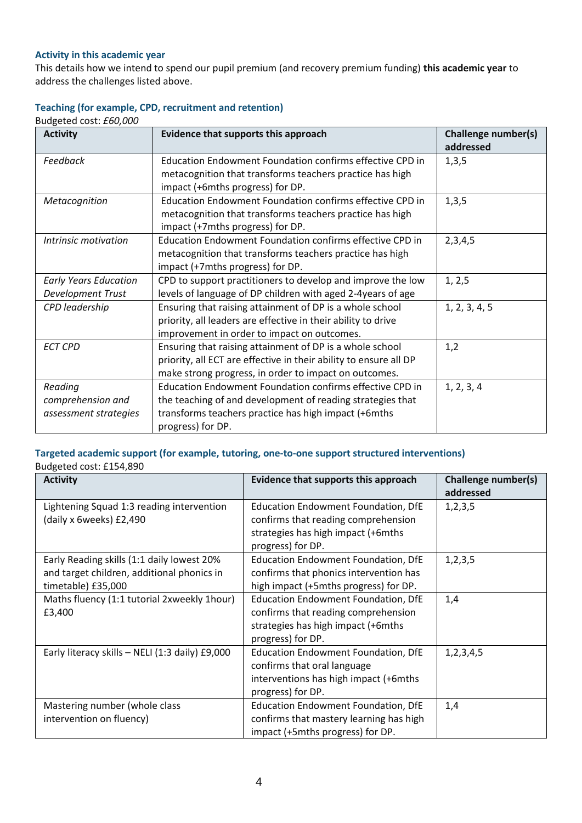## **Activity in this academic year**

This details how we intend to spend our pupil premium (and recovery premium funding) **this academic year** to address the challenges listed above.

## **Teaching (for example, CPD, recruitment and retention)**

Budgeted cost: *£60,000*

| <b>Activity</b>              | Evidence that supports this approach                                                         | Challenge number(s)<br>addressed |
|------------------------------|----------------------------------------------------------------------------------------------|----------------------------------|
| Feedback                     | Education Endowment Foundation confirms effective CPD in                                     | 1,3,5                            |
|                              | metacognition that transforms teachers practice has high<br>impact (+6mths progress) for DP. |                                  |
| Metacognition                | Education Endowment Foundation confirms effective CPD in                                     | 1,3,5                            |
|                              | metacognition that transforms teachers practice has high<br>impact (+7mths progress) for DP. |                                  |
| Intrinsic motivation         | Education Endowment Foundation confirms effective CPD in                                     | 2,3,4,5                          |
|                              | metacognition that transforms teachers practice has high<br>impact (+7mths progress) for DP. |                                  |
| <b>Early Years Education</b> | CPD to support practitioners to develop and improve the low                                  | 1, 2, 5                          |
| Development Trust            | levels of language of DP children with aged 2-4years of age                                  |                                  |
| CPD leadership               | Ensuring that raising attainment of DP is a whole school                                     | 1, 2, 3, 4, 5                    |
|                              | priority, all leaders are effective in their ability to drive                                |                                  |
|                              | improvement in order to impact on outcomes.                                                  |                                  |
| <b>ECT CPD</b>               | Ensuring that raising attainment of DP is a whole school                                     | 1,2                              |
|                              | priority, all ECT are effective in their ability to ensure all DP                            |                                  |
|                              | make strong progress, in order to impact on outcomes.                                        |                                  |
| Reading                      | Education Endowment Foundation confirms effective CPD in                                     | 1, 2, 3, 4                       |
| comprehension and            | the teaching of and development of reading strategies that                                   |                                  |
| assessment strategies        | transforms teachers practice has high impact (+6mths                                         |                                  |
|                              | progress) for DP.                                                                            |                                  |

## **Targeted academic support (for example, tutoring, one-to-one support structured interventions)**  Budgeted cost: £154,890

| <b>Activity</b>                                 | Evidence that supports this approach       | Challenge number(s)<br>addressed |
|-------------------------------------------------|--------------------------------------------|----------------------------------|
| Lightening Squad 1:3 reading intervention       | <b>Education Endowment Foundation, DfE</b> | 1, 2, 3, 5                       |
| (daily x 6weeks) £2,490                         | confirms that reading comprehension        |                                  |
|                                                 | strategies has high impact (+6mths         |                                  |
|                                                 | progress) for DP.                          |                                  |
| Early Reading skills (1:1 daily lowest 20%      | <b>Education Endowment Foundation, DfE</b> | 1, 2, 3, 5                       |
| and target children, additional phonics in      | confirms that phonics intervention has     |                                  |
| timetable) £35,000                              | high impact (+5mths progress) for DP.      |                                  |
| Maths fluency (1:1 tutorial 2xweekly 1hour)     | <b>Education Endowment Foundation, DfE</b> | 1,4                              |
| £3,400                                          | confirms that reading comprehension        |                                  |
|                                                 | strategies has high impact (+6mths         |                                  |
|                                                 | progress) for DP.                          |                                  |
| Early literacy skills - NELI (1:3 daily) £9,000 | <b>Education Endowment Foundation, DfE</b> | 1,2,3,4,5                        |
|                                                 | confirms that oral language                |                                  |
|                                                 | interventions has high impact (+6mths)     |                                  |
|                                                 | progress) for DP.                          |                                  |
| Mastering number (whole class                   | <b>Education Endowment Foundation, DfE</b> | 1,4                              |
| intervention on fluency)                        | confirms that mastery learning has high    |                                  |
|                                                 | impact (+5mths progress) for DP.           |                                  |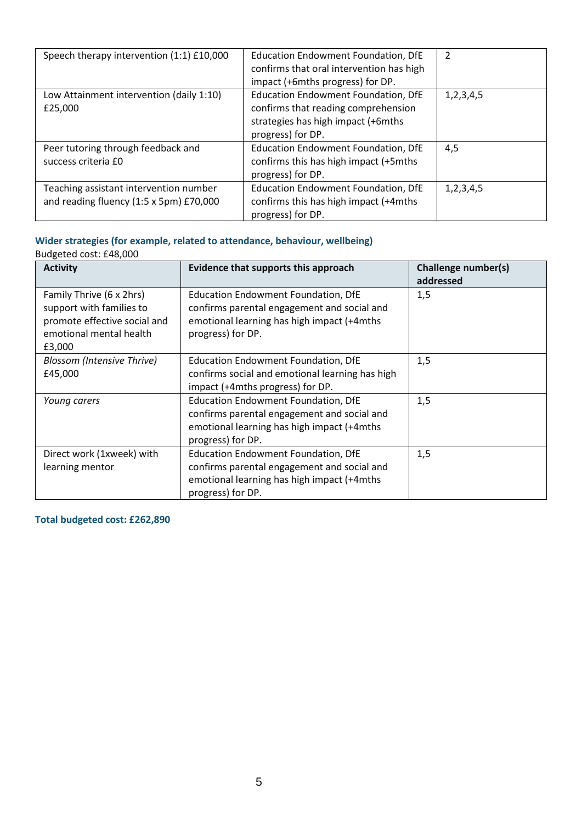| Speech therapy intervention (1:1) £10,000                                         | <b>Education Endowment Foundation, DfE</b><br>confirms that oral intervention has high<br>impact (+6mths progress) for DP.                   | $\overline{2}$ |
|-----------------------------------------------------------------------------------|----------------------------------------------------------------------------------------------------------------------------------------------|----------------|
| Low Attainment intervention (daily 1:10)<br>£25,000                               | <b>Education Endowment Foundation, DfE</b><br>confirms that reading comprehension<br>strategies has high impact (+6mths<br>progress) for DP. | 1, 2, 3, 4, 5  |
| Peer tutoring through feedback and<br>success criteria £0                         | Education Endowment Foundation, DfE<br>confirms this has high impact (+5mths)<br>progress) for DP.                                           | 4,5            |
| Teaching assistant intervention number<br>and reading fluency (1:5 x 5pm) £70,000 | Education Endowment Foundation, DfE<br>confirms this has high impact (+4mths)<br>progress) for DP.                                           | 1, 2, 3, 4, 5  |

# **Wider strategies (for example, related to attendance, behaviour, wellbeing)**

| Budgeted cost: £48,000                                                                                                    |                                                                                                                                                              |                                  |  |
|---------------------------------------------------------------------------------------------------------------------------|--------------------------------------------------------------------------------------------------------------------------------------------------------------|----------------------------------|--|
| <b>Activity</b>                                                                                                           | Evidence that supports this approach                                                                                                                         | Challenge number(s)<br>addressed |  |
| Family Thrive (6 x 2hrs)<br>support with families to<br>promote effective social and<br>emotional mental health<br>£3,000 | <b>Education Endowment Foundation, DfE</b><br>confirms parental engagement and social and<br>emotional learning has high impact (+4mths<br>progress) for DP. | 1,5                              |  |
| <b>Blossom (Intensive Thrive)</b><br>£45,000                                                                              | <b>Education Endowment Foundation, DfE</b><br>confirms social and emotional learning has high<br>impact (+4mths progress) for DP.                            | 1,5                              |  |
| Young carers                                                                                                              | <b>Education Endowment Foundation, DfE</b><br>confirms parental engagement and social and<br>emotional learning has high impact (+4mths<br>progress) for DP. | 1,5                              |  |
| Direct work (1xweek) with<br>learning mentor                                                                              | <b>Education Endowment Foundation, DfE</b><br>confirms parental engagement and social and<br>emotional learning has high impact (+4mths<br>progress) for DP. | 1,5                              |  |

**Total budgeted cost: £262,890**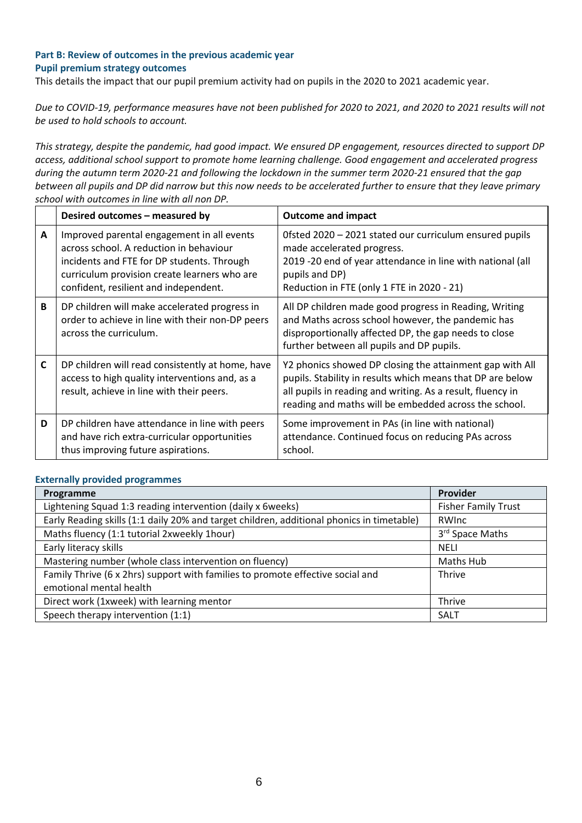## **Part B: Review of outcomes in the previous academic year Pupil premium strategy outcomes**

This details the impact that our pupil premium activity had on pupils in the 2020 to 2021 academic year.

*Due to COVID-19, performance measures have not been published for 2020 to 2021, and 2020 to 2021 results will not be used to hold schools to account.*

*This strategy, despite the pandemic, had good impact. We ensured DP engagement, resources directed to support DP access, additional school support to promote home learning challenge. Good engagement and accelerated progress during the autumn term 2020-21 and following the lockdown in the summer term 2020-21 ensured that the gap between all pupils and DP did narrow but this now needs to be accelerated further to ensure that they leave primary school with outcomes in line with all non DP.*

|   |   | Desired outcomes – measured by                                                                                                                                                                                               | <b>Outcome and impact</b>                                                                                                                                                                                                                     |
|---|---|------------------------------------------------------------------------------------------------------------------------------------------------------------------------------------------------------------------------------|-----------------------------------------------------------------------------------------------------------------------------------------------------------------------------------------------------------------------------------------------|
| A |   | Improved parental engagement in all events<br>across school. A reduction in behaviour<br>incidents and FTE for DP students. Through<br>curriculum provision create learners who are<br>confident, resilient and independent. | Ofsted 2020 - 2021 stated our curriculum ensured pupils<br>made accelerated progress.<br>2019 -20 end of year attendance in line with national (all<br>pupils and DP)<br>Reduction in FTE (only 1 FTE in 2020 - 21)                           |
|   | B | DP children will make accelerated progress in<br>order to achieve in line with their non-DP peers<br>across the curriculum.                                                                                                  | All DP children made good progress in Reading, Writing<br>and Maths across school however, the pandemic has<br>disproportionally affected DP, the gap needs to close<br>further between all pupils and DP pupils.                             |
| C |   | DP children will read consistently at home, have<br>access to high quality interventions and, as a<br>result, achieve in line with their peers.                                                                              | Y2 phonics showed DP closing the attainment gap with All<br>pupils. Stability in results which means that DP are below<br>all pupils in reading and writing. As a result, fluency in<br>reading and maths will be embedded across the school. |
|   | D | DP children have attendance in line with peers<br>and have rich extra-curricular opportunities<br>thus improving future aspirations.                                                                                         | Some improvement in PAs (in line with national)<br>attendance. Continued focus on reducing PAs across<br>school.                                                                                                                              |

#### **Externally provided programmes**

| Programme                                                                                 | Provider                    |
|-------------------------------------------------------------------------------------------|-----------------------------|
| Lightening Squad 1:3 reading intervention (daily x 6weeks)                                | <b>Fisher Family Trust</b>  |
| Early Reading skills (1:1 daily 20% and target children, additional phonics in timetable) | RWInc                       |
| Maths fluency (1:1 tutorial 2xweekly 1hour)                                               | 3 <sup>rd</sup> Space Maths |
| Early literacy skills                                                                     | <b>NELI</b>                 |
| Mastering number (whole class intervention on fluency)                                    | Maths Hub                   |
| Family Thrive (6 x 2hrs) support with families to promote effective social and            | <b>Thrive</b>               |
| emotional mental health                                                                   |                             |
| Direct work (1xweek) with learning mentor                                                 | Thrive                      |
| Speech therapy intervention (1:1)                                                         | SALT                        |